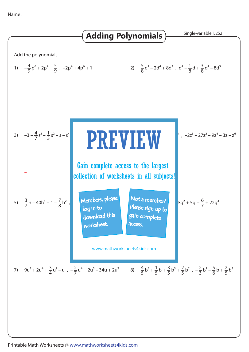